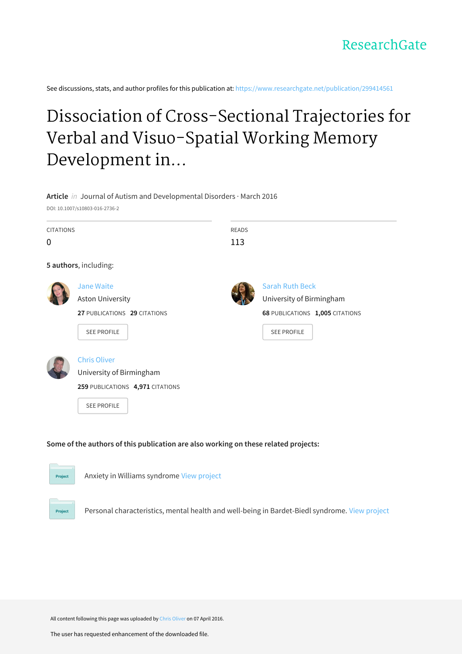See discussions, stats, and author profiles for this publication at: [https://www.researchgate.net/publication/299414561](https://www.researchgate.net/publication/299414561_Dissociation_of_Cross-Sectional_Trajectories_for_Verbal_and_Visuo-Spatial_Working_Memory_Development_in_Rubinstein-Taybi_Syndrome?enrichId=rgreq-ae3dbcd2afeedbe4a32ffb8cbbcb1146-XXX&enrichSource=Y292ZXJQYWdlOzI5OTQxNDU2MTtBUzozNDgyOTEwNTg0MjE3NjBAMTQ2MDA1MDQ2NzEyMg%3D%3D&el=1_x_2&_esc=publicationCoverPdf)

## Dissociation of Cross-Sectional Trajectories for Verbal and Visuo-Spatial Working Memory Development in...





Project

Anxiety in Williams syndrome View [project](https://www.researchgate.net/project/Anxiety-in-Williams-syndrome?enrichId=rgreq-ae3dbcd2afeedbe4a32ffb8cbbcb1146-XXX&enrichSource=Y292ZXJQYWdlOzI5OTQxNDU2MTtBUzozNDgyOTEwNTg0MjE3NjBAMTQ2MDA1MDQ2NzEyMg%3D%3D&el=1_x_9&_esc=publicationCoverPdf)

Personal characteristics, mental health and well-being in Bardet-Biedl syndrome. View [project](https://www.researchgate.net/project/Personal-characteristics-mental-health-and-well-being-in-Bardet-Biedl-syndrome?enrichId=rgreq-ae3dbcd2afeedbe4a32ffb8cbbcb1146-XXX&enrichSource=Y292ZXJQYWdlOzI5OTQxNDU2MTtBUzozNDgyOTEwNTg0MjE3NjBAMTQ2MDA1MDQ2NzEyMg%3D%3D&el=1_x_9&_esc=publicationCoverPdf)

All content following this page was uploaded by Chris [Oliver](https://www.researchgate.net/profile/Chris_Oliver2?enrichId=rgreq-ae3dbcd2afeedbe4a32ffb8cbbcb1146-XXX&enrichSource=Y292ZXJQYWdlOzI5OTQxNDU2MTtBUzozNDgyOTEwNTg0MjE3NjBAMTQ2MDA1MDQ2NzEyMg%3D%3D&el=1_x_10&_esc=publicationCoverPdf) on 07 April 2016.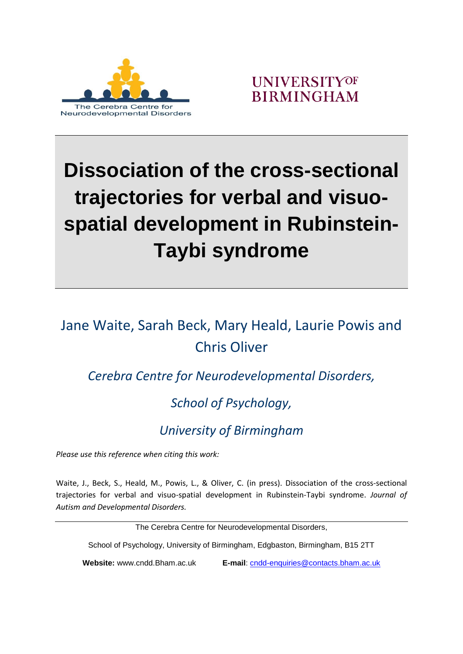

**UNIVERSITYOF BIRMINGHAM** 

# **Dissociation of the cross-sectional trajectories for verbal and visuospatial development in Rubinstein-Taybi syndrome**

### Jane Waite, Sarah Beck, Mary Heald, Laurie Powis and Chris Oliver

*Cerebra Centre for Neurodevelopmental Disorders,* 

### *School of Psychology,*

### *University of Birmingham*

*Please use this reference when citing this work:*

Waite, J., Beck, S., Heald, M., Powis, L., & Oliver, C. (in press). Dissociation of the cross-sectional trajectories for verbal and visuo-spatial development in Rubinstein-Taybi syndrome. *Journal of Autism and Developmental Disorders.*

The Cerebra Centre for Neurodevelopmental Disorders,

School of Psychology, University of Birmingham, Edgbaston, Birmingham, B15 2TT

**Website:** www.cndd.Bham.ac.uk **E-mail**: [cndd-enquiries@contacts.bham.ac.uk](mailto:cndd-enquiries@contacts.bham.ac.uk)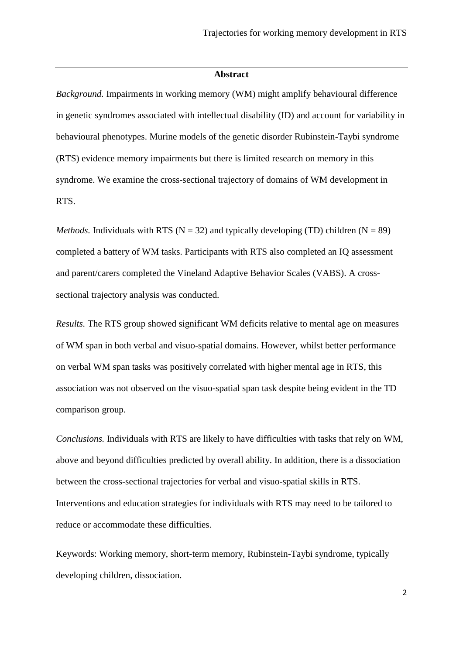#### **Abstract**

*Background.* Impairments in working memory (WM) might amplify behavioural difference in genetic syndromes associated with intellectual disability (ID) and account for variability in behavioural phenotypes. Murine models of the genetic disorder Rubinstein-Taybi syndrome (RTS) evidence memory impairments but there is limited research on memory in this syndrome. We examine the cross-sectional trajectory of domains of WM development in RTS.

*Methods.* Individuals with RTS ( $N = 32$ ) and typically developing (TD) children ( $N = 89$ ) completed a battery of WM tasks. Participants with RTS also completed an IQ assessment and parent/carers completed the Vineland Adaptive Behavior Scales (VABS). A crosssectional trajectory analysis was conducted.

*Results.* The RTS group showed significant WM deficits relative to mental age on measures of WM span in both verbal and visuo-spatial domains. However, whilst better performance on verbal WM span tasks was positively correlated with higher mental age in RTS, this association was not observed on the visuo-spatial span task despite being evident in the TD comparison group.

*Conclusions.* Individuals with RTS are likely to have difficulties with tasks that rely on WM, above and beyond difficulties predicted by overall ability. In addition, there is a dissociation between the cross-sectional trajectories for verbal and visuo-spatial skills in RTS. Interventions and education strategies for individuals with RTS may need to be tailored to reduce or accommodate these difficulties.

Keywords: Working memory, short-term memory, Rubinstein-Taybi syndrome, typically developing children, dissociation.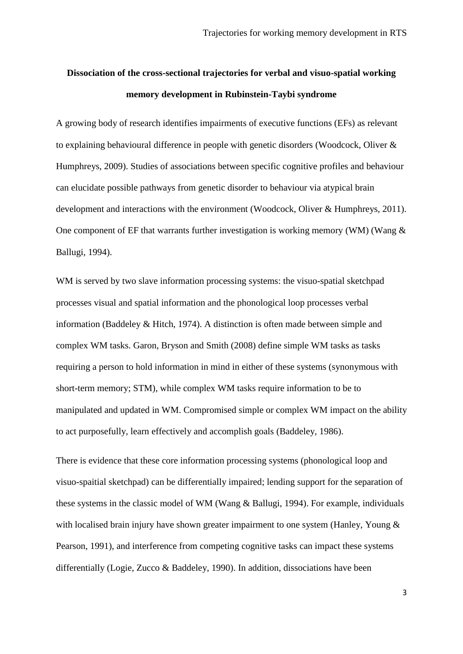### **Dissociation of the cross-sectional trajectories for verbal and visuo-spatial working memory development in Rubinstein-Taybi syndrome**

A growing body of research identifies impairments of executive functions (EFs) as relevant to explaining behavioural difference in people with genetic disorders (Woodcock, Oliver & Humphreys, 2009). Studies of associations between specific cognitive profiles and behaviour can elucidate possible pathways from genetic disorder to behaviour via atypical brain development and interactions with the environment (Woodcock, Oliver & Humphreys, 2011). One component of EF that warrants further investigation is working memory (WM) (Wang  $\&$ Ballugi, 1994).

WM is served by two slave information processing systems: the visuo-spatial sketchpad processes visual and spatial information and the phonological loop processes verbal information (Baddeley & Hitch, 1974). A distinction is often made between simple and complex WM tasks. Garon, Bryson and Smith (2008) define simple WM tasks as tasks requiring a person to hold information in mind in either of these systems (synonymous with short-term memory; STM), while complex WM tasks require information to be to manipulated and updated in WM. Compromised simple or complex WM impact on the ability to act purposefully, learn effectively and accomplish goals (Baddeley, 1986).

There is evidence that these core information processing systems (phonological loop and visuo-spaitial sketchpad) can be differentially impaired; lending support for the separation of these systems in the classic model of WM (Wang & Ballugi, 1994). For example, individuals with localised brain injury have shown greater impairment to one system (Hanley, Young & Pearson, 1991), and interference from competing cognitive tasks can impact these systems differentially (Logie, Zucco & Baddeley, 1990). In addition, dissociations have been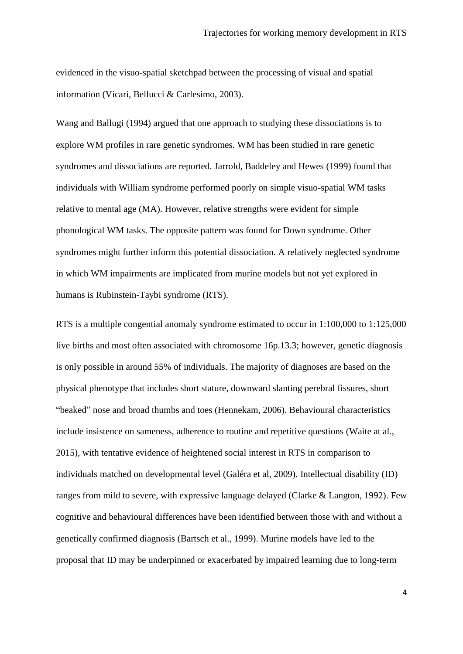evidenced in the visuo-spatial sketchpad between the processing of visual and spatial information (Vicari, Bellucci & Carlesimo, 2003).

Wang and Ballugi (1994) argued that one approach to studying these dissociations is to explore WM profiles in rare genetic syndromes. WM has been studied in rare genetic syndromes and dissociations are reported. Jarrold, Baddeley and Hewes (1999) found that individuals with William syndrome performed poorly on simple visuo-spatial WM tasks relative to mental age (MA). However, relative strengths were evident for simple phonological WM tasks. The opposite pattern was found for Down syndrome. Other syndromes might further inform this potential dissociation. A relatively neglected syndrome in which WM impairments are implicated from murine models but not yet explored in humans is Rubinstein-Taybi syndrome (RTS).

RTS is a multiple congential anomaly syndrome estimated to occur in 1:100,000 to 1:125,000 live births and most often associated with chromosome 16p.13.3; however, genetic diagnosis is only possible in around 55% of individuals. The majority of diagnoses are based on the physical phenotype that includes short stature, downward slanting perebral fissures, short "beaked" nose and broad thumbs and toes (Hennekam, 2006). Behavioural characteristics include insistence on sameness, adherence to routine and repetitive questions (Waite at al., 2015), with tentative evidence of heightened social interest in RTS in comparison to individuals matched on developmental level (Galéra et al, 2009). Intellectual disability (ID) ranges from mild to severe, with expressive language delayed (Clarke & Langton, 1992). Few cognitive and behavioural differences have been identified between those with and without a genetically confirmed diagnosis (Bartsch et al., 1999). Murine models have led to the proposal that ID may be underpinned or exacerbated by impaired learning due to long-term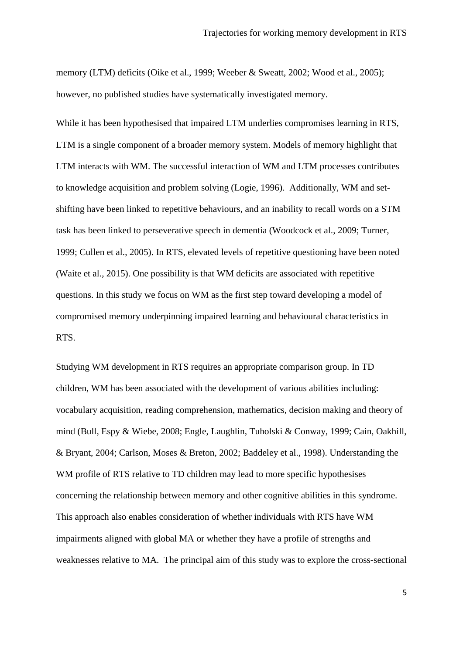memory (LTM) deficits (Oike et al., 1999; Weeber & Sweatt, 2002; Wood et al., 2005); however, no published studies have systematically investigated memory.

While it has been hypothesised that impaired LTM underlies compromises learning in RTS, LTM is a single component of a broader memory system. Models of memory highlight that LTM interacts with WM. The successful interaction of WM and LTM processes contributes to knowledge acquisition and problem solving (Logie, 1996). Additionally, WM and setshifting have been linked to repetitive behaviours, and an inability to recall words on a STM task has been linked to perseverative speech in dementia (Woodcock et al., 2009; Turner, 1999; Cullen et al., 2005). In RTS, elevated levels of repetitive questioning have been noted (Waite et al., 2015). One possibility is that WM deficits are associated with repetitive questions. In this study we focus on WM as the first step toward developing a model of compromised memory underpinning impaired learning and behavioural characteristics in RTS.

Studying WM development in RTS requires an appropriate comparison group. In TD children, WM has been associated with the development of various abilities including: vocabulary acquisition, reading comprehension, mathematics, decision making and theory of mind (Bull, Espy & Wiebe, 2008; Engle, Laughlin, Tuholski & Conway, 1999; Cain, Oakhill, & Bryant, 2004; Carlson, Moses & Breton, 2002; Baddeley et al., 1998). Understanding the WM profile of RTS relative to TD children may lead to more specific hypothesises concerning the relationship between memory and other cognitive abilities in this syndrome. This approach also enables consideration of whether individuals with RTS have WM impairments aligned with global MA or whether they have a profile of strengths and weaknesses relative to MA. The principal aim of this study was to explore the cross-sectional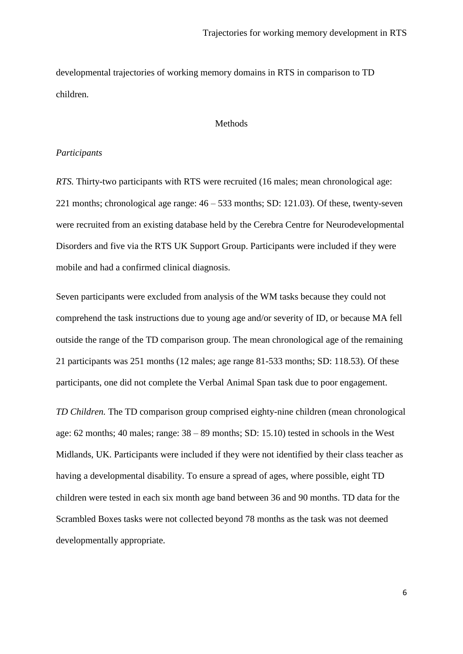developmental trajectories of working memory domains in RTS in comparison to TD children.

#### Methods

#### *Participants*

*RTS.* Thirty-two participants with RTS were recruited (16 males; mean chronological age: 221 months; chronological age range: 46 – 533 months; SD: 121.03). Of these, twenty-seven were recruited from an existing database held by the Cerebra Centre for Neurodevelopmental Disorders and five via the RTS UK Support Group. Participants were included if they were mobile and had a confirmed clinical diagnosis.

Seven participants were excluded from analysis of the WM tasks because they could not comprehend the task instructions due to young age and/or severity of ID, or because MA fell outside the range of the TD comparison group. The mean chronological age of the remaining 21 participants was 251 months (12 males; age range 81-533 months; SD: 118.53). Of these participants, one did not complete the Verbal Animal Span task due to poor engagement.

*TD Children.* The TD comparison group comprised eighty-nine children (mean chronological age: 62 months; 40 males; range: 38 – 89 months; SD: 15.10) tested in schools in the West Midlands, UK. Participants were included if they were not identified by their class teacher as having a developmental disability. To ensure a spread of ages, where possible, eight TD children were tested in each six month age band between 36 and 90 months. TD data for the Scrambled Boxes tasks were not collected beyond 78 months as the task was not deemed developmentally appropriate.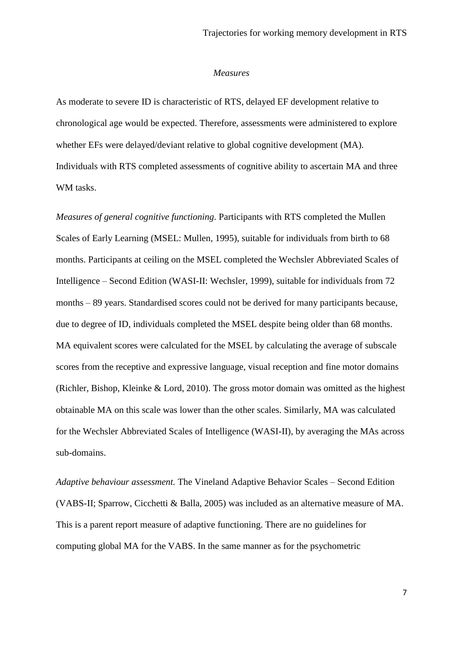#### *Measures*

As moderate to severe ID is characteristic of RTS, delayed EF development relative to chronological age would be expected. Therefore, assessments were administered to explore whether EFs were delayed/deviant relative to global cognitive development (MA). Individuals with RTS completed assessments of cognitive ability to ascertain MA and three WM tasks.

*Measures of general cognitive functioning.* Participants with RTS completed the Mullen Scales of Early Learning (MSEL: Mullen*,* 1995), suitable for individuals from birth to 68 months. Participants at ceiling on the MSEL completed the Wechsler Abbreviated Scales of Intelligence – Second Edition (WASI-II: Wechsler, 1999), suitable for individuals from 72 months – 89 years. Standardised scores could not be derived for many participants because, due to degree of ID, individuals completed the MSEL despite being older than 68 months. MA equivalent scores were calculated for the MSEL by calculating the average of subscale scores from the receptive and expressive language, visual reception and fine motor domains (Richler, Bishop, Kleinke & Lord, 2010). The gross motor domain was omitted as the highest obtainable MA on this scale was lower than the other scales. Similarly, MA was calculated for the Wechsler Abbreviated Scales of Intelligence (WASI-II), by averaging the MAs across sub-domains.

*Adaptive behaviour assessment.* The Vineland Adaptive Behavior Scales – Second Edition (VABS-II; Sparrow, Cicchetti & Balla, 2005) was included as an alternative measure of MA. This is a parent report measure of adaptive functioning. There are no guidelines for computing global MA for the VABS. In the same manner as for the psychometric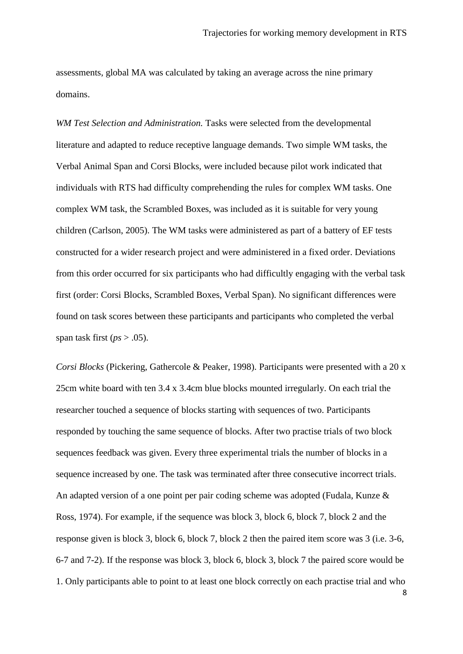assessments, global MA was calculated by taking an average across the nine primary domains.

*WM Test Selection and Administration.* Tasks were selected from the developmental literature and adapted to reduce receptive language demands. Two simple WM tasks, the Verbal Animal Span and Corsi Blocks, were included because pilot work indicated that individuals with RTS had difficulty comprehending the rules for complex WM tasks. One complex WM task, the Scrambled Boxes, was included as it is suitable for very young children (Carlson, 2005). The WM tasks were administered as part of a battery of EF tests constructed for a wider research project and were administered in a fixed order. Deviations from this order occurred for six participants who had difficultly engaging with the verbal task first (order: Corsi Blocks, Scrambled Boxes, Verbal Span). No significant differences were found on task scores between these participants and participants who completed the verbal span task first  $(ps > .05)$ .

*Corsi Blocks* (Pickering, Gathercole & Peaker, 1998). Participants were presented with a 20 x 25cm white board with ten 3.4 x 3.4cm blue blocks mounted irregularly. On each trial the researcher touched a sequence of blocks starting with sequences of two. Participants responded by touching the same sequence of blocks. After two practise trials of two block sequences feedback was given. Every three experimental trials the number of blocks in a sequence increased by one. The task was terminated after three consecutive incorrect trials. An adapted version of a one point per pair coding scheme was adopted (Fudala, Kunze & Ross, 1974). For example, if the sequence was block 3, block 6, block 7, block 2 and the response given is block 3, block 6, block 7, block 2 then the paired item score was 3 (i.e. 3-6, 6-7 and 7-2). If the response was block 3, block 6, block 3, block 7 the paired score would be 1. Only participants able to point to at least one block correctly on each practise trial and who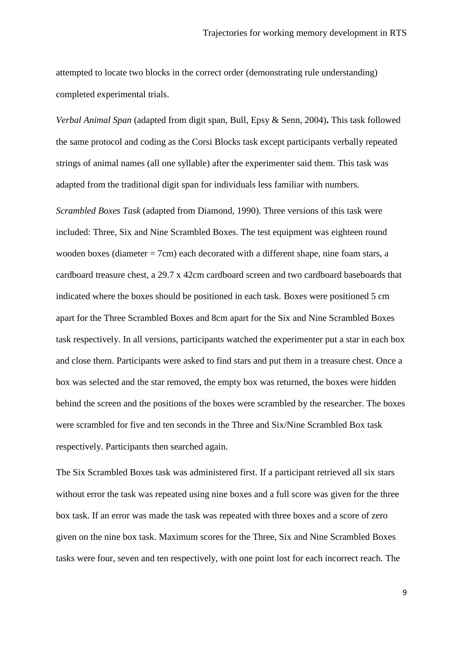attempted to locate two blocks in the correct order (demonstrating rule understanding) completed experimental trials.

*Verbal Animal Span* (adapted from digit span, Bull, Epsy & Senn, 2004)**.** This task followed the same protocol and coding as the Corsi Blocks task except participants verbally repeated strings of animal names (all one syllable) after the experimenter said them. This task was adapted from the traditional digit span for individuals less familiar with numbers.

*Scrambled Boxes Task* (adapted from Diamond, 1990). Three versions of this task were included: Three, Six and Nine Scrambled Boxes. The test equipment was eighteen round wooden boxes (diameter = 7cm) each decorated with a different shape, nine foam stars, a cardboard treasure chest, a 29.7 x 42cm cardboard screen and two cardboard baseboards that indicated where the boxes should be positioned in each task. Boxes were positioned 5 cm apart for the Three Scrambled Boxes and 8cm apart for the Six and Nine Scrambled Boxes task respectively. In all versions, participants watched the experimenter put a star in each box and close them. Participants were asked to find stars and put them in a treasure chest. Once a box was selected and the star removed, the empty box was returned, the boxes were hidden behind the screen and the positions of the boxes were scrambled by the researcher. The boxes were scrambled for five and ten seconds in the Three and Six/Nine Scrambled Box task respectively. Participants then searched again.

The Six Scrambled Boxes task was administered first. If a participant retrieved all six stars without error the task was repeated using nine boxes and a full score was given for the three box task. If an error was made the task was repeated with three boxes and a score of zero given on the nine box task. Maximum scores for the Three, Six and Nine Scrambled Boxes tasks were four, seven and ten respectively, with one point lost for each incorrect reach. The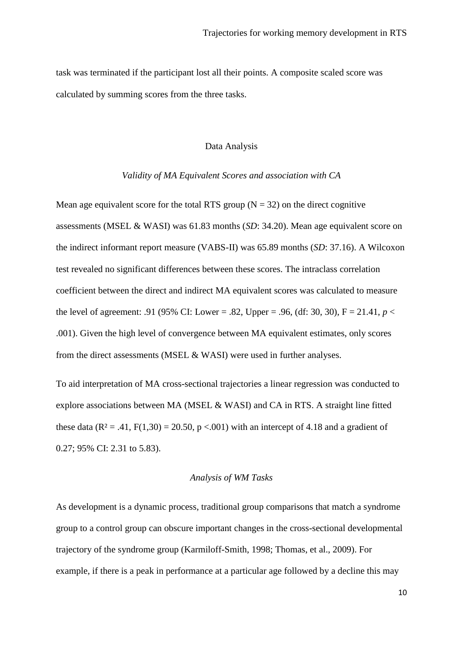task was terminated if the participant lost all their points. A composite scaled score was calculated by summing scores from the three tasks.

#### Data Analysis

#### *Validity of MA Equivalent Scores and association with CA*

Mean age equivalent score for the total RTS group ( $N = 32$ ) on the direct cognitive assessments (MSEL & WASI) was 61.83 months (*SD*: 34.20). Mean age equivalent score on the indirect informant report measure (VABS-II) was 65.89 months (*SD*: 37.16). A Wilcoxon test revealed no significant differences between these scores. The intraclass correlation coefficient between the direct and indirect MA equivalent scores was calculated to measure the level of agreement: .91 (95% CI: Lower = .82, Upper = .96, (df: 30, 30),  $F = 21.41$ ,  $p <$ .001). Given the high level of convergence between MA equivalent estimates, only scores from the direct assessments (MSEL & WASI) were used in further analyses.

To aid interpretation of MA cross-sectional trajectories a linear regression was conducted to explore associations between MA (MSEL & WASI) and CA in RTS. A straight line fitted these data ( $\mathbb{R}^2 = .41$ ,  $F(1,30) = 20.50$ ,  $p < .001$ ) with an intercept of 4.18 and a gradient of 0.27; 95% CI: 2.31 to 5.83).

#### *Analysis of WM Tasks*

As development is a dynamic process, traditional group comparisons that match a syndrome group to a control group can obscure important changes in the cross-sectional developmental trajectory of the syndrome group (Karmiloff-Smith, 1998; Thomas, et al., 2009). For example, if there is a peak in performance at a particular age followed by a decline this may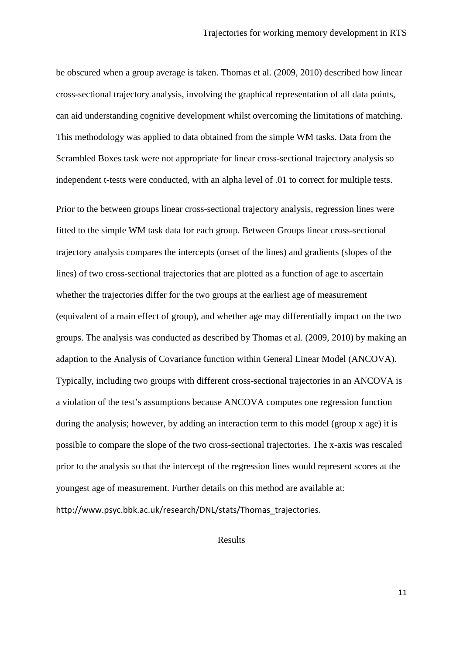be obscured when a group average is taken. Thomas et al. (2009, 2010) described how linear cross-sectional trajectory analysis, involving the graphical representation of all data points, can aid understanding cognitive development whilst overcoming the limitations of matching. This methodology was applied to data obtained from the simple WM tasks. Data from the Scrambled Boxes task were not appropriate for linear cross-sectional trajectory analysis so independent t-tests were conducted, with an alpha level of .01 to correct for multiple tests.

Prior to the between groups linear cross-sectional trajectory analysis, regression lines were fitted to the simple WM task data for each group. Between Groups linear cross-sectional trajectory analysis compares the intercepts (onset of the lines) and gradients (slopes of the lines) of two cross-sectional trajectories that are plotted as a function of age to ascertain whether the trajectories differ for the two groups at the earliest age of measurement (equivalent of a main effect of group), and whether age may differentially impact on the two groups. The analysis was conducted as described by Thomas et al. (2009, 2010) by making an adaption to the Analysis of Covariance function within General Linear Model (ANCOVA). Typically, including two groups with different cross-sectional trajectories in an ANCOVA is a violation of the test's assumptions because ANCOVA computes one regression function during the analysis; however, by adding an interaction term to this model (group x age) it is possible to compare the slope of the two cross-sectional trajectories. The x-axis was rescaled prior to the analysis so that the intercept of the regression lines would represent scores at the youngest age of measurement. Further details on this method are available at: http://www.psyc.bbk.ac.uk/research/DNL/stats/Thomas\_trajectories.

#### Results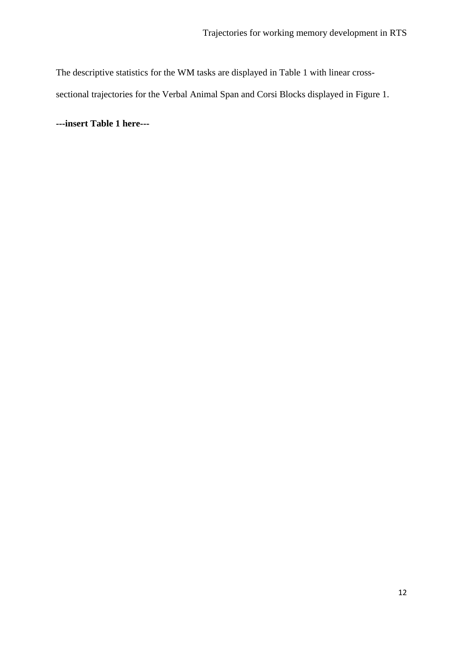The descriptive statistics for the WM tasks are displayed in Table 1 with linear crosssectional trajectories for the Verbal Animal Span and Corsi Blocks displayed in Figure 1.

**---insert Table 1 here---**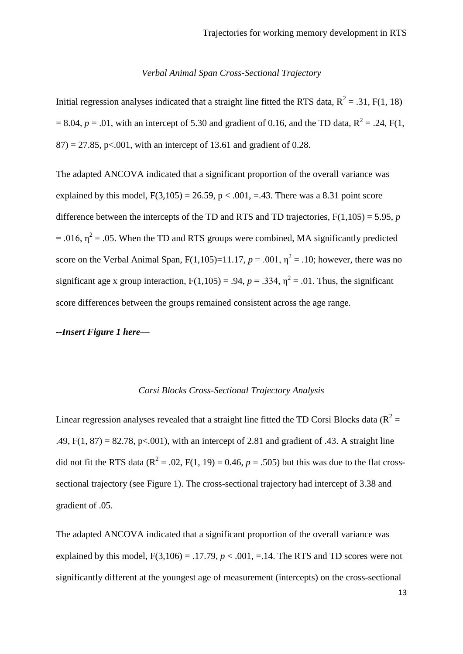#### *Verbal Animal Span Cross-Sectional Trajectory*

Initial regression analyses indicated that a straight line fitted the RTS data,  $R^2 = .31$ , F(1, 18)  $= 8.04$ ,  $p = .01$ , with an intercept of 5.30 and gradient of 0.16, and the TD data, R<sup>2</sup> = .24, F(1,  $87$ ) = 27.85, p<.001, with an intercept of 13.61 and gradient of 0.28.

The adapted ANCOVA indicated that a significant proportion of the overall variance was explained by this model,  $F(3,105) = 26.59$ ,  $p < .001$ ,  $= .43$ . There was a 8.31 point score difference between the intercepts of the TD and RTS and TD trajectories,  $F(1,105) = 5.95$ , *p* = .016,  $\eta^2$  = .05. When the TD and RTS groups were combined, MA significantly predicted score on the Verbal Animal Span,  $F(1,105)=11.17$ ,  $p = .001$ ,  $\eta^2 = .10$ ; however, there was no significant age x group interaction,  $F(1,105) = .94$ ,  $p = .334$ ,  $\eta^2 = .01$ . Thus, the significant score differences between the groups remained consistent across the age range.

#### *--Insert Figure 1 here—*

#### *Corsi Blocks Cross-Sectional Trajectory Analysis*

Linear regression analyses revealed that a straight line fitted the TD Corsi Blocks data ( $R^2$  = .49,  $F(1, 87) = 82.78$ ,  $p \le 0.001$ ), with an intercept of 2.81 and gradient of .43. A straight line did not fit the RTS data ( $R^2 = .02$ , F(1, 19) = 0.46,  $p = .505$ ) but this was due to the flat crosssectional trajectory (see Figure 1). The cross-sectional trajectory had intercept of 3.38 and gradient of .05.

The adapted ANCOVA indicated that a significant proportion of the overall variance was explained by this model,  $F(3,106) = .17.79$ ,  $p < .001$ ,  $= .14$ . The RTS and TD scores were not significantly different at the youngest age of measurement (intercepts) on the cross-sectional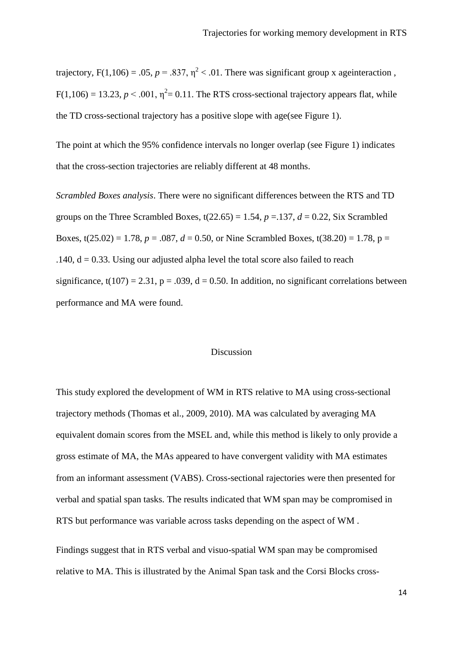trajectory,  $F(1,106) = .05$ ,  $p = .837$ ,  $\eta^2 < .01$ . There was significant group x ageinteraction,  $F(1,106) = 13.23, p < .001, \eta^2 = 0.11$ . The RTS cross-sectional trajectory appears flat, while the TD cross-sectional trajectory has a positive slope with age(see Figure 1).

The point at which the 95% confidence intervals no longer overlap (see Figure 1) indicates that the cross-section trajectories are reliably different at 48 months.

*Scrambled Boxes analysis*. There were no significant differences between the RTS and TD groups on the Three Scrambled Boxes,  $t(22.65) = 1.54$ ,  $p = 137$ ,  $d = 0.22$ , Six Scrambled Boxes,  $t(25.02) = 1.78$ ,  $p = .087$ ,  $d = 0.50$ , or Nine Scrambled Boxes,  $t(38.20) = 1.78$ ,  $p =$ .140,  $d = 0.33$ . Using our adjusted alpha level the total score also failed to reach significance,  $t(107) = 2.31$ ,  $p = .039$ ,  $d = 0.50$ . In addition, no significant correlations between performance and MA were found.

#### Discussion

This study explored the development of WM in RTS relative to MA using cross-sectional trajectory methods (Thomas et al., 2009, 2010). MA was calculated by averaging MA equivalent domain scores from the MSEL and, while this method is likely to only provide a gross estimate of MA, the MAs appeared to have convergent validity with MA estimates from an informant assessment (VABS). Cross-sectional rajectories were then presented for verbal and spatial span tasks. The results indicated that WM span may be compromised in RTS but performance was variable across tasks depending on the aspect of WM .

Findings suggest that in RTS verbal and visuo-spatial WM span may be compromised relative to MA. This is illustrated by the Animal Span task and the Corsi Blocks cross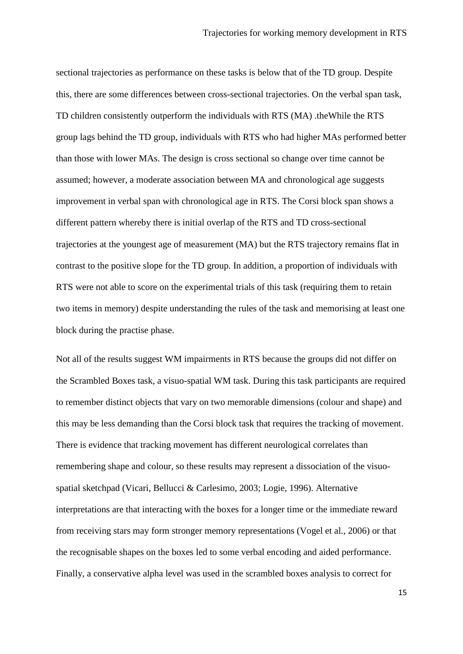sectional trajectories as performance on these tasks is below that of the TD group. Despite this, there are some differences between cross-sectional trajectories. On the verbal span task, TD children consistently outperform the individuals with RTS (MA) .theWhile the RTS group lags behind the TD group, individuals with RTS who had higher MAs performed better than those with lower MAs. The design is cross sectional so change over time cannot be assumed; however, a moderate association between MA and chronological age suggests improvement in verbal span with chronological age in RTS. The Corsi block span shows a different pattern whereby there is initial overlap of the RTS and TD cross-sectional trajectories at the youngest age of measurement (MA) but the RTS trajectory remains flat in contrast to the positive slope for the TD group. In addition, a proportion of individuals with RTS were not able to score on the experimental trials of this task (requiring them to retain two items in memory) despite understanding the rules of the task and memorising at least one block during the practise phase.

Not all of the results suggest WM impairments in RTS because the groups did not differ on the Scrambled Boxes task, a visuo-spatial WM task. During this task participants are required to remember distinct objects that vary on two memorable dimensions (colour and shape) and this may be less demanding than the Corsi block task that requires the tracking of movement. There is evidence that tracking movement has different neurological correlates than remembering shape and colour, so these results may represent a dissociation of the visuospatial sketchpad (Vicari, Bellucci & Carlesimo, 2003; Logie, 1996). Alternative interpretations are that interacting with the boxes for a longer time or the immediate reward from receiving stars may form stronger memory representations (Vogel et al., 2006) or that the recognisable shapes on the boxes led to some verbal encoding and aided performance. Finally, a conservative alpha level was used in the scrambled boxes analysis to correct for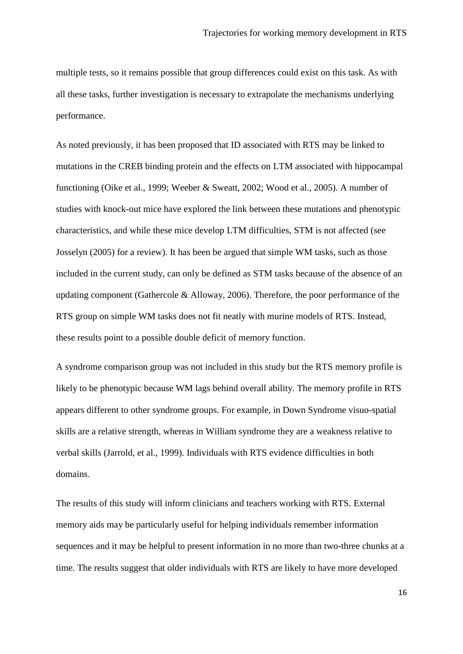multiple tests, so it remains possible that group differences could exist on this task. As with all these tasks, further investigation is necessary to extrapolate the mechanisms underlying performance.

As noted previously, it has been proposed that ID associated with RTS may be linked to mutations in the CREB binding protein and the effects on LTM associated with hippocampal functioning (Oike et al., 1999; Weeber & Sweatt, 2002; Wood et al., 2005). A number of studies with knock-out mice have explored the link between these mutations and phenotypic characteristics, and while these mice develop LTM difficulties, STM is not affected (see Josselyn (2005) for a review). It has been be argued that simple WM tasks, such as those included in the current study, can only be defined as STM tasks because of the absence of an updating component (Gathercole & Alloway, 2006). Therefore, the poor performance of the RTS group on simple WM tasks does not fit neatly with murine models of RTS. Instead, these results point to a possible double deficit of memory function.

A syndrome comparison group was not included in this study but the RTS memory profile is likely to be phenotypic because WM lags behind overall ability. The memory profile in RTS appears different to other syndrome groups. For example, in Down Syndrome visuo-spatial skills are a relative strength, whereas in William syndrome they are a weakness relative to verbal skills (Jarrold, et al., 1999). Individuals with RTS evidence difficulties in both domains.

The results of this study will inform clinicians and teachers working with RTS. External memory aids may be particularly useful for helping individuals remember information sequences and it may be helpful to present information in no more than two-three chunks at a time. The results suggest that older individuals with RTS are likely to have more developed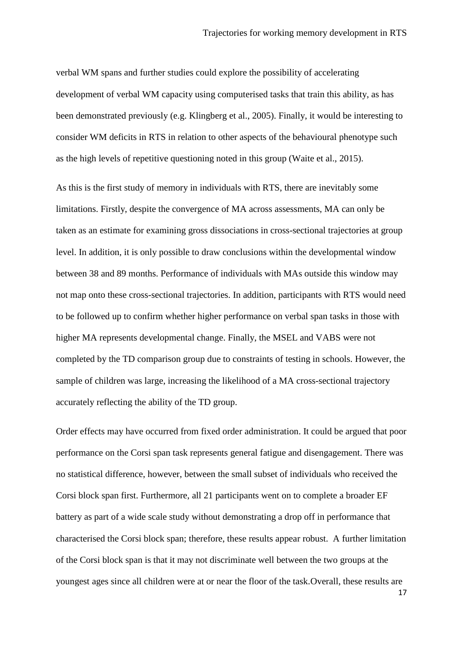verbal WM spans and further studies could explore the possibility of accelerating development of verbal WM capacity using computerised tasks that train this ability, as has been demonstrated previously (e.g. Klingberg et al., 2005). Finally, it would be interesting to consider WM deficits in RTS in relation to other aspects of the behavioural phenotype such as the high levels of repetitive questioning noted in this group (Waite et al., 2015).

As this is the first study of memory in individuals with RTS, there are inevitably some limitations. Firstly, despite the convergence of MA across assessments, MA can only be taken as an estimate for examining gross dissociations in cross-sectional trajectories at group level. In addition, it is only possible to draw conclusions within the developmental window between 38 and 89 months. Performance of individuals with MAs outside this window may not map onto these cross-sectional trajectories. In addition, participants with RTS would need to be followed up to confirm whether higher performance on verbal span tasks in those with higher MA represents developmental change. Finally, the MSEL and VABS were not completed by the TD comparison group due to constraints of testing in schools. However, the sample of children was large, increasing the likelihood of a MA cross-sectional trajectory accurately reflecting the ability of the TD group.

Order effects may have occurred from fixed order administration. It could be argued that poor performance on the Corsi span task represents general fatigue and disengagement. There was no statistical difference, however, between the small subset of individuals who received the Corsi block span first. Furthermore, all 21 participants went on to complete a broader EF battery as part of a wide scale study without demonstrating a drop off in performance that characterised the Corsi block span; therefore, these results appear robust. A further limitation of the Corsi block span is that it may not discriminate well between the two groups at the youngest ages since all children were at or near the floor of the task.Overall, these results are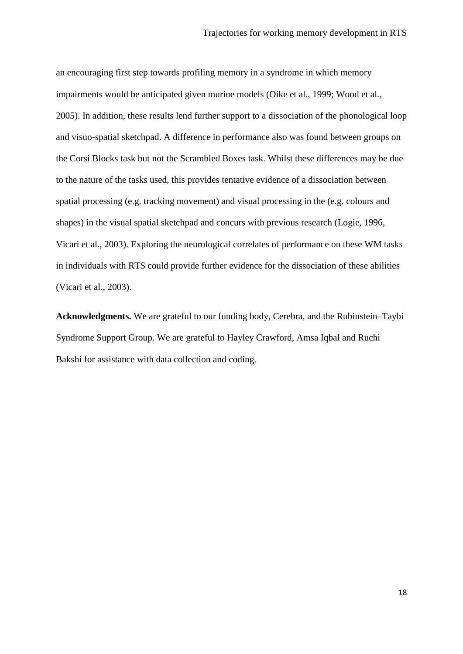an encouraging first step towards profiling memory in a syndrome in which memory impairments would be anticipated given murine models (Oike et al., 1999; Wood et al., 2005). In addition, these results lend further support to a dissociation of the phonological loop and visuo-spatial sketchpad. A difference in performance also was found between groups on the Corsi Blocks task but not the Scrambled Boxes task. Whilst these differences may be due to the nature of the tasks used, this provides tentative evidence of a dissociation between spatial processing (e.g. tracking movement) and visual processing in the (e.g. colours and shapes) in the visual spatial sketchpad and concurs with previous research (Logie, 1996, Vicari et al., 2003). Exploring the neurological correlates of performance on these WM tasks in individuals with RTS could provide further evidence for the dissociation of these abilities (Vicari et al., 2003).

**Acknowledgments.** We are grateful to our funding body, Cerebra, and the Rubinstein–Taybi Syndrome Support Group. We are grateful to Hayley Crawford, Amsa Iqbal and Ruchi Bakshi for assistance with data collection and coding.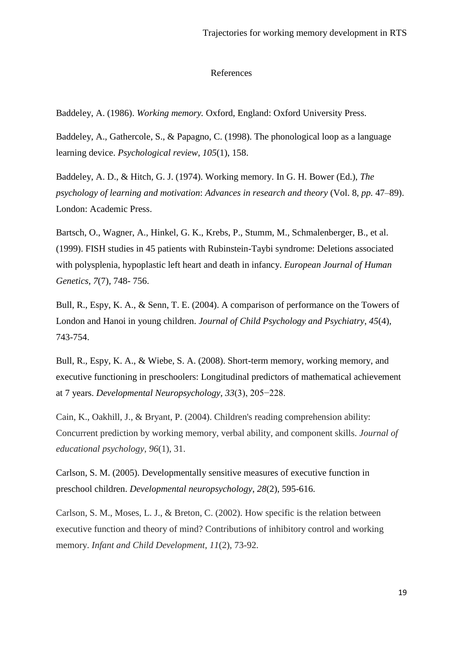#### References

Baddeley, A. (1986). *Working memory.* Oxford, England: Oxford University Press.

Baddeley, A., Gathercole, S., & Papagno, C. (1998). The phonological loop as a language learning device. *Psychological review*, *105*(1), 158.

Baddeley, A. D., & Hitch, G. J. (1974). Working memory. In G. H. Bower (Ed.), *The psychology of learning and motivation*: *Advances in research and theory* (Vol. 8, *pp.* 47–89). London: Academic Press.

Bartsch, O., Wagner, A., Hinkel, G. K., Krebs, P., Stumm, M., Schmalenberger, B., et al. (1999). FISH studies in 45 patients with Rubinstein-Taybi syndrome: Deletions associated with polysplenia, hypoplastic left heart and death in infancy. *European Journal of Human Genetics, 7*(7), 748- 756.

Bull, R., Espy, K. A., & Senn, T. E. (2004). A comparison of performance on the Towers of London and Hanoi in young children. *Journal of Child Psychology and Psychiatry*, *45*(4), 743-754.

Bull, R., Espy, K. A., & Wiebe, S. A. (2008). Short-term memory, working memory, and executive functioning in preschoolers: Longitudinal predictors of mathematical achievement at 7 years. *Developmental Neuropsychology, 33*(3), 205−228.

Cain, K., Oakhill, J., & Bryant, P. (2004). Children's reading comprehension ability: Concurrent prediction by working memory, verbal ability, and component skills. *Journal of educational psychology*, *96*(1), 31.

Carlson, S. M. (2005). Developmentally sensitive measures of executive function in preschool children. *Developmental neuropsychology*, *28*(2), 595-616.

Carlson, S. M., Moses, L. J., & Breton, C. (2002). How specific is the relation between executive function and theory of mind? Contributions of inhibitory control and working memory. *Infant and Child Development*, *11*(2), 73-92.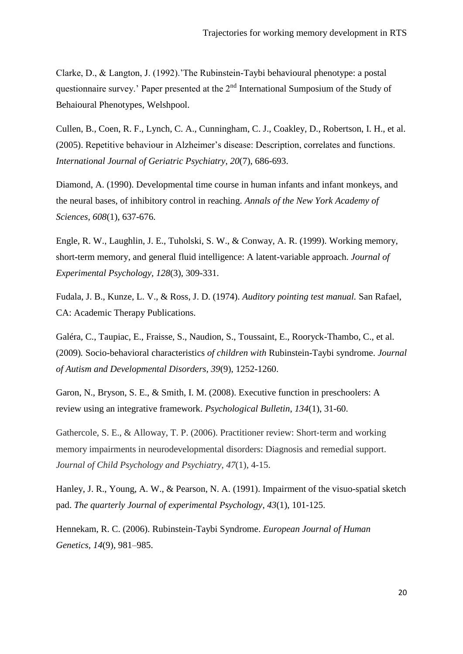Clarke, D., & Langton, J. (1992).'The Rubinstein-Taybi behavioural phenotype: a postal questionnaire survey.' Paper presented at the  $2<sup>nd</sup>$  International Sumposium of the Study of Behaioural Phenotypes, Welshpool.

Cullen, B., Coen, R. F., Lynch, C. A., Cunningham, C. J., Coakley, D., Robertson, I. H., et al. (2005). Repetitive behaviour in Alzheimer's disease: Description, correlates and functions. *International Journal of Geriatric Psychiatry*, *20*(7), 686-693.

Diamond, A. (1990). Developmental time course in human infants and infant monkeys, and the neural bases, of inhibitory control in reaching. *Annals of the New York Academy of Sciences, 608*(1), 637-676.

Engle, R. W., Laughlin, J. E., Tuholski, S. W., & Conway, A. R. (1999). Working memory, short-term memory, and general fluid intelligence: A latent-variable approach. *Journal of Experimental Psychology, 128*(3), 309-331.

Fudala, J. B., Kunze, L. V., & Ross, J. D. (1974). *Auditory pointing test manual.* San Rafael, CA: Academic Therapy Publications.

Galéra*,* C., Taupiac, E., Fraisse, S., Naudion, S., Toussaint, E., Rooryck-Thambo, C., et al. (2009)*.* Socio*-*behavioral characteristics *of children with* Rubinstein*-*Taybi syndrome. *Journal of Autism and Developmental Disorders, 39*(9), 1252-1260.

Garon, N., Bryson, S. E., & Smith, I. M. (2008). Executive function in preschoolers: A review using an integrative framework. *Psychological Bulletin*, *134*(1), 31-60.

Gathercole, S. E., & Alloway, T. P. (2006). Practitioner review: Short-term and working memory impairments in neurodevelopmental disorders: Diagnosis and remedial support. *Journal of Child Psychology and Psychiatry*, *47*(1), 4-15.

Hanley, J. R., Young, A. W., & Pearson, N. A. (1991). Impairment of the visuo-spatial sketch pad. *The quarterly Journal of experimental Psychology*, *43*(1), 101-125.

Hennekam, R. C. (2006). Rubinstein-Taybi Syndrome. *European Journal of Human Genetics, 14*(9), 981–985.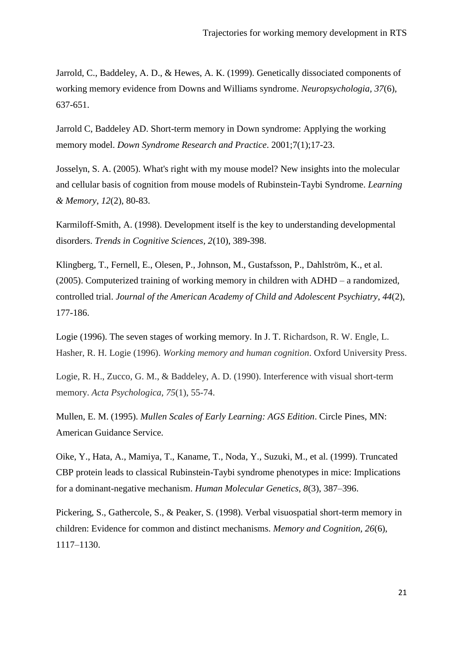Jarrold, C., Baddeley, A. D., & Hewes, A. K. (1999). Genetically dissociated components of working memory evidence from Downs and Williams syndrome. *Neuropsychologia, 37*(6), 637-651.

Jarrold C, Baddeley AD. Short-term memory in Down syndrome: Applying the working memory model. *Down Syndrome Research and Practice*. 2001;7(1);17-23.

Josselyn, S. A. (2005). What's right with my mouse model? New insights into the molecular and cellular basis of cognition from mouse models of Rubinstein-Taybi Syndrome. *Learning & Memory*, *12*(2), 80-83.

Karmiloff-Smith, A. (1998). Development itself is the key to understanding developmental disorders. *Trends in Cognitive Sciences, 2*(10), 389-398.

Klingberg, T., Fernell, E., Olesen, P., Johnson, M., Gustafsson, P., Dahlström, K., et al. (2005). Computerized training of working memory in children with ADHD – a randomized, controlled trial. *Journal of the American Academy of Child and Adolescent Psychiatry*, *44*(2), 177-186.

Logie (1996). The seven stages of working memory. In J. T. Richardson, R. W. Engle, L. Hasher, R. H. Logie (1996). *Working memory and human cognition*. Oxford University Press.

Logie, R. H., Zucco, G. M., & Baddeley, A. D. (1990). Interference with visual short-term memory. *Acta Psychologica*, *75*(1), 55-74.

Mullen, E. M. (1995). *Mullen Scales of Early Learning: AGS Edition*. Circle Pines, MN: American Guidance Service.

Oike, Y., Hata, A., Mamiya, T., Kaname, T., Noda, Y., Suzuki, M., et al. (1999). Truncated CBP protein leads to classical Rubinstein-Taybi syndrome phenotypes in mice: Implications for a dominant-negative mechanism. *Human Molecular Genetics, 8*(3), 387–396.

Pickering, S., Gathercole, S., & Peaker, S. (1998). Verbal visuospatial short-term memory in children: Evidence for common and distinct mechanisms. *Memory and Cognition, 26*(6), 1117–1130.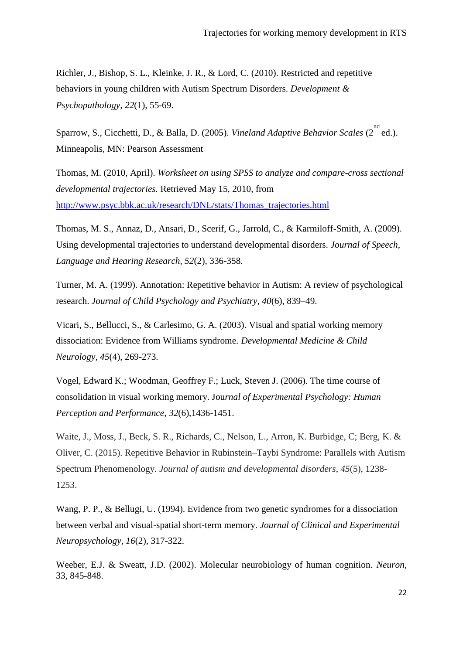Richler, J., Bishop, S. L., Kleinke, J. R., & Lord, C. (2010). Restricted and repetitive behaviors in young children with Autism Spectrum Disorders. *Development & Psychopathology, 22*(1), 55‐69.

Sparrow, S., Cicchetti, D., & Balla, D. (2005). *Vineland Adaptive Behavior Scales* (2<sup>nd</sup> ed.). Minneapolis, MN: Pearson Assessment

Thomas, M. (2010, April). *Worksheet on using SPSS to analyze and compare-cross sectional developmental trajectories.* Retrieved May 15, 2010, from [http://www.psyc.bbk.ac.uk/research/DNL/stats/Thomas\\_trajectories.html](http://www.psyc.bbk.ac.uk/research/DNL/stats/Thomas_trajectories.html)

Thomas, M. S., Annaz, D., Ansari, D., Scerif, G., Jarrold, C., & Karmiloff-Smith, A. (2009). Using developmental trajectories to understand developmental disorders. *Journal of Speech, Language and Hearing Research, 52*(2), 336-358.

Turner, M. A. (1999). Annotation: Repetitive behavior in Autism: A review of psychological research. *Journal of Child Psychology and Psychiatry, 40*(6), 839–49.

Vicari, S., Bellucci, S., & Carlesimo, G. A. (2003). Visual and spatial working memory dissociation: Evidence from Williams syndrome. *Developmental Medicine & Child Neurology*, *45*(4), 269-273.

Vogel, Edward K.; Woodman, Geoffrey F.; Luck, Steven J. (2006). The time course of consolidation in visual working memory. Jou*rnal of Experimental Psychology: Human Perception and Performance, 32*(6),1436-1451.

Waite, J., Moss, J., Beck, S. R., Richards, C., Nelson, L., Arron, K. Burbidge, C; Berg, K. & Oliver, C. (2015). Repetitive Behavior in Rubinstein–Taybi Syndrome: Parallels with Autism Spectrum Phenomenology. *Journal of autism and developmental disorders*, *45*(5), 1238- 1253.

Wang, P. P., & Bellugi, U. (1994). Evidence from two genetic syndromes for a dissociation between verbal and visual-spatial short-term memory. *Journal of Clinical and Experimental Neuropsychology*, *16*(2), 317-322.

Weeber, E.J. & Sweatt, J.D. (2002). Molecular neurobiology of human cognition. *Neuron,* 33, 845-848.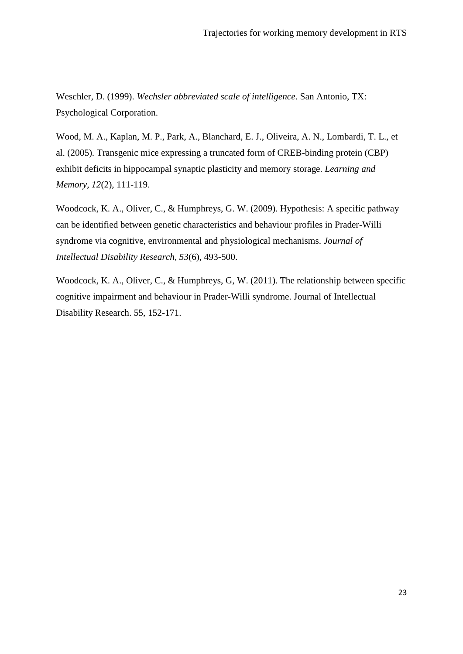Weschler, D. (1999). *Wechsler abbreviated scale of intelligence*. San Antonio, TX: Psychological Corporation.

Wood, M. A., Kaplan, M. P., Park, A., Blanchard, E. J., Oliveira, A. N., Lombardi, T. L., et al. (2005)*.* Transgenic mice expressing a truncated form of CREB-binding protein (CBP) exhibit deficits in hippocampal synaptic plasticity and memory storage. *Learning and Memory, 12*(2), 111-119.

Woodcock, K. A., Oliver, C., & Humphreys, G. W. (2009). Hypothesis: A specific pathway can be identified between genetic characteristics and behaviour profiles in Prader-Willi syndrome via cognitive, environmental and physiological mechanisms. *Journal of Intellectual Disability Research*, *53*(6), 493-500.

Woodcock, K. A., Oliver, C., & Humphreys, G, W. (2011). The relationship between specific cognitive impairment and behaviour in Prader-Willi syndrome. Journal of Intellectual Disability Research. 55, 152-171.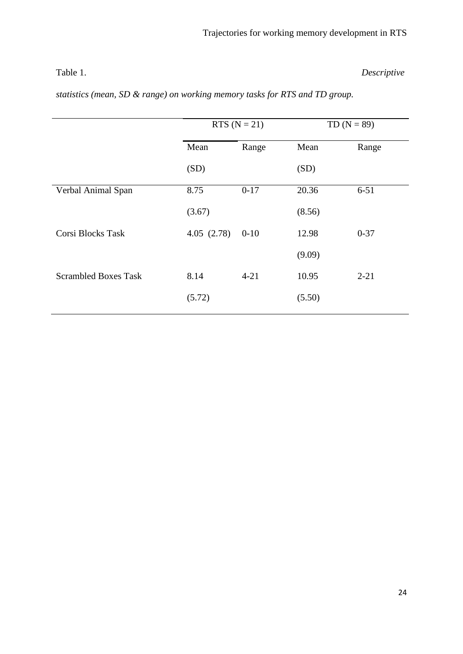Table 1. *Descriptive* 

| statistics (mean, SD & range) on working memory tasks for RTS and TD group. |  |
|-----------------------------------------------------------------------------|--|
|-----------------------------------------------------------------------------|--|

|                             | RTS $(N = 21)$ |          | TD $(N = 89)$ |          |
|-----------------------------|----------------|----------|---------------|----------|
|                             | Mean           | Range    | Mean          | Range    |
|                             | (SD)           |          | (SD)          |          |
| Verbal Animal Span          | 8.75           | $0 - 17$ | 20.36         | $6 - 51$ |
|                             | (3.67)         |          | (8.56)        |          |
| Corsi Blocks Task           | 4.05(2.78)     | $0 - 10$ | 12.98         | $0 - 37$ |
|                             |                |          | (9.09)        |          |
| <b>Scrambled Boxes Task</b> | 8.14           | $4 - 21$ | 10.95         | $2 - 21$ |
|                             | (5.72)         |          | (5.50)        |          |
|                             |                |          |               |          |